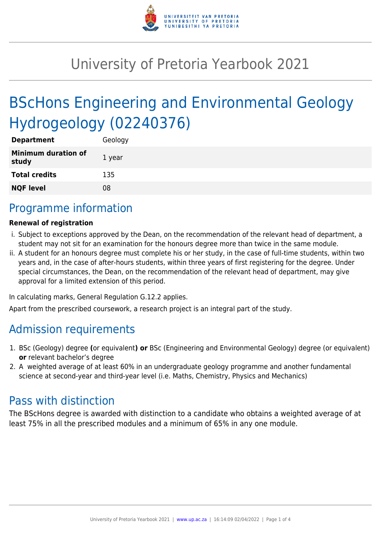

## University of Pretoria Yearbook 2021

# BScHons Engineering and Environmental Geology Hydrogeology (02240376)

| <b>Department</b>                   | Geology |
|-------------------------------------|---------|
| <b>Minimum duration of</b><br>study | 1 year  |
| <b>Total credits</b>                | 135     |
| <b>NQF level</b>                    | 08      |

## Programme information

#### **Renewal of registration**

- i. Subject to exceptions approved by the Dean, on the recommendation of the relevant head of department, a student may not sit for an examination for the honours degree more than twice in the same module.
- ii. A student for an honours degree must complete his or her study, in the case of full-time students, within two years and, in the case of after-hours students, within three years of first registering for the degree. Under special circumstances, the Dean, on the recommendation of the relevant head of department, may give approval for a limited extension of this period.

In calculating marks, General Regulation G.12.2 applies.

Apart from the prescribed coursework, a research project is an integral part of the study.

### Admission requirements

- 1. BSc (Geology) degree **(**or equivalent**) or** BSc (Engineering and Environmental Geology) degree (or equivalent) **or** relevant bachelor's degree
- 2. A weighted average of at least 60% in an undergraduate geology programme and another fundamental science at second-year and third-year level (i.e. Maths, Chemistry, Physics and Mechanics)

### Pass with distinction

The BScHons degree is awarded with distinction to a candidate who obtains a weighted average of at least 75% in all the prescribed modules and a minimum of 65% in any one module.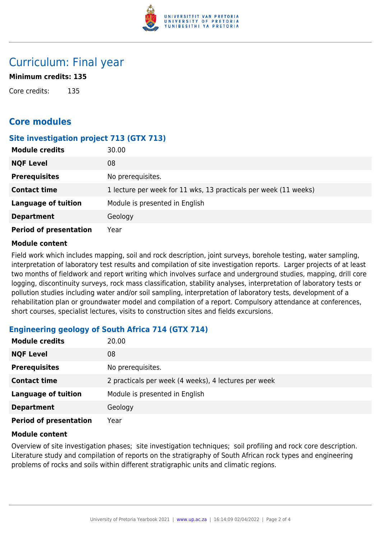

## Curriculum: Final year

#### **Minimum credits: 135**

Core credits: 135

### **Core modules**

#### **Site investigation project 713 (GTX 713)**

| <b>Module credits</b>         | 30.00                                                            |
|-------------------------------|------------------------------------------------------------------|
| <b>NQF Level</b>              | 08                                                               |
| <b>Prerequisites</b>          | No prerequisites.                                                |
| <b>Contact time</b>           | 1 lecture per week for 11 wks, 13 practicals per week (11 weeks) |
| <b>Language of tuition</b>    | Module is presented in English                                   |
| <b>Department</b>             | Geology                                                          |
| <b>Period of presentation</b> | Year                                                             |

#### **Module content**

Field work which includes mapping, soil and rock description, joint surveys, borehole testing, water sampling, interpretation of laboratory test results and compilation of site investigation reports. Larger projects of at least two months of fieldwork and report writing which involves surface and underground studies, mapping, drill core logging, discontinuity surveys, rock mass classification, stability analyses, interpretation of laboratory tests or pollution studies including water and/or soil sampling, interpretation of laboratory tests, development of a rehabilitation plan or groundwater model and compilation of a report. Compulsory attendance at conferences, short courses, specialist lectures, visits to construction sites and fields excursions.

#### **Engineering geology of South Africa 714 (GTX 714)**

| <b>Module credits</b>         | 20.00                                                |
|-------------------------------|------------------------------------------------------|
| <b>NQF Level</b>              | 08                                                   |
| <b>Prerequisites</b>          | No prerequisites.                                    |
| <b>Contact time</b>           | 2 practicals per week (4 weeks), 4 lectures per week |
| <b>Language of tuition</b>    | Module is presented in English                       |
| <b>Department</b>             | Geology                                              |
| <b>Period of presentation</b> | Year                                                 |

#### **Module content**

Overview of site investigation phases; site investigation techniques; soil profiling and rock core description. Literature study and compilation of reports on the stratigraphy of South African rock types and engineering problems of rocks and soils within different stratigraphic units and climatic regions.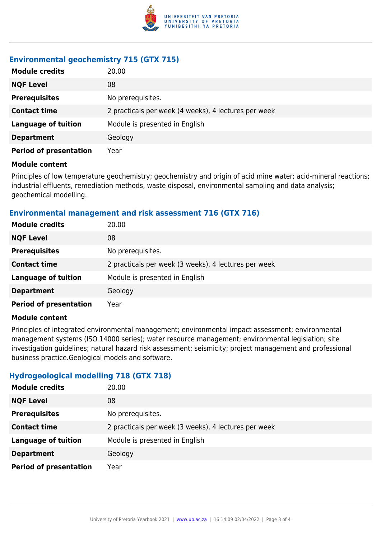

#### **Environmental geochemistry 715 (GTX 715)**

| <b>Module credits</b>         | 20.00                                                |
|-------------------------------|------------------------------------------------------|
| <b>NQF Level</b>              | 08                                                   |
| <b>Prerequisites</b>          | No prerequisites.                                    |
| <b>Contact time</b>           | 2 practicals per week (4 weeks), 4 lectures per week |
| <b>Language of tuition</b>    | Module is presented in English                       |
| <b>Department</b>             | Geology                                              |
| <b>Period of presentation</b> | Year                                                 |

#### **Module content**

Principles of low temperature geochemistry; geochemistry and origin of acid mine water; acid-mineral reactions; industrial effluents, remediation methods, waste disposal, environmental sampling and data analysis; geochemical modelling.

#### **Environmental management and risk assessment 716 (GTX 716)**

| <b>Module credits</b>         | 20.00                                                |
|-------------------------------|------------------------------------------------------|
| <b>NQF Level</b>              | 08                                                   |
| <b>Prerequisites</b>          | No prerequisites.                                    |
| <b>Contact time</b>           | 2 practicals per week (3 weeks), 4 lectures per week |
| <b>Language of tuition</b>    | Module is presented in English                       |
| <b>Department</b>             | Geology                                              |
| <b>Period of presentation</b> | Year                                                 |

#### **Module content**

Principles of integrated environmental management; environmental impact assessment; environmental management systems (ISO 14000 series); water resource management; environmental legislation; site investigation guidelines; natural hazard risk assessment; seismicity; project management and professional business practice.Geological models and software.

#### **Hydrogeological modelling 718 (GTX 718)**

| <b>Module credits</b>         | 20.00                                                |
|-------------------------------|------------------------------------------------------|
| <b>NQF Level</b>              | 08                                                   |
| <b>Prerequisites</b>          | No prerequisites.                                    |
| <b>Contact time</b>           | 2 practicals per week (3 weeks), 4 lectures per week |
| <b>Language of tuition</b>    | Module is presented in English                       |
| <b>Department</b>             | Geology                                              |
| <b>Period of presentation</b> | Year                                                 |